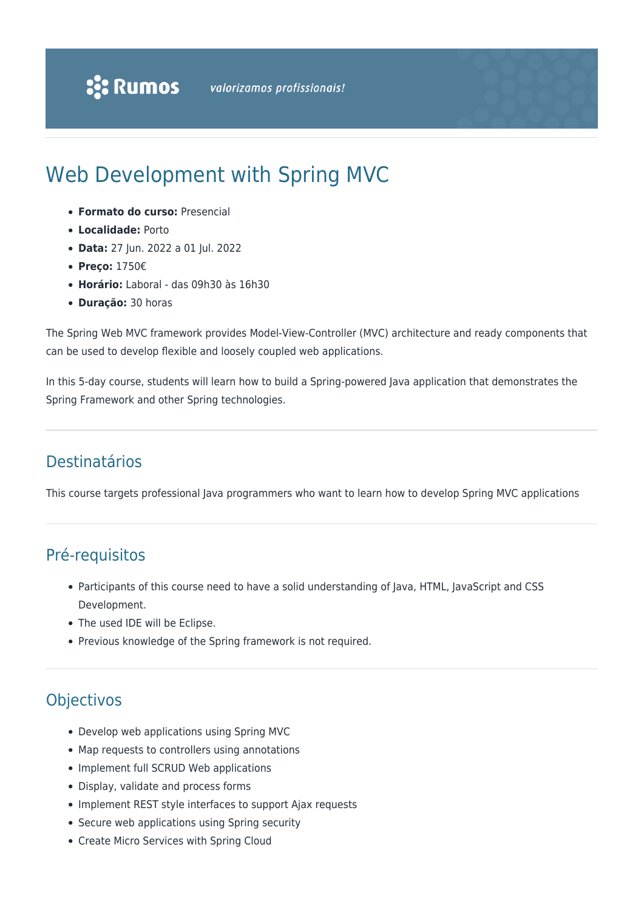# Web Development with Spring MVC

- **Formato do curso:** Presencial
- **Localidade:** Porto
- **Data:** 27 Jun. 2022 a 01 Jul. 2022
- **Preço:** 1750€
- **Horário:** Laboral das 09h30 às 16h30
- **Duração:** 30 horas

The Spring Web MVC framework provides Model-View-Controller (MVC) architecture and ready components that can be used to develop flexible and loosely coupled web applications.

In this 5-day course, students will learn how to build a Spring-powered Java application that demonstrates the Spring Framework and other Spring technologies.

# Destinatários

This course targets professional Java programmers who want to learn how to develop Spring MVC applications

# Pré-requisitos

- Participants of this course need to have a solid understanding of Java, HTML, JavaScript and CSS Development.
- The used IDE will be Eclipse.
- Previous knowledge of the Spring framework is not required.

# **Objectivos**

- Develop web applications using Spring MVC
- Map requests to controllers using annotations
- Implement full SCRUD Web applications
- Display, validate and process forms
- Implement REST style interfaces to support Ajax requests
- Secure web applications using Spring security
- Create Micro Services with Spring Cloud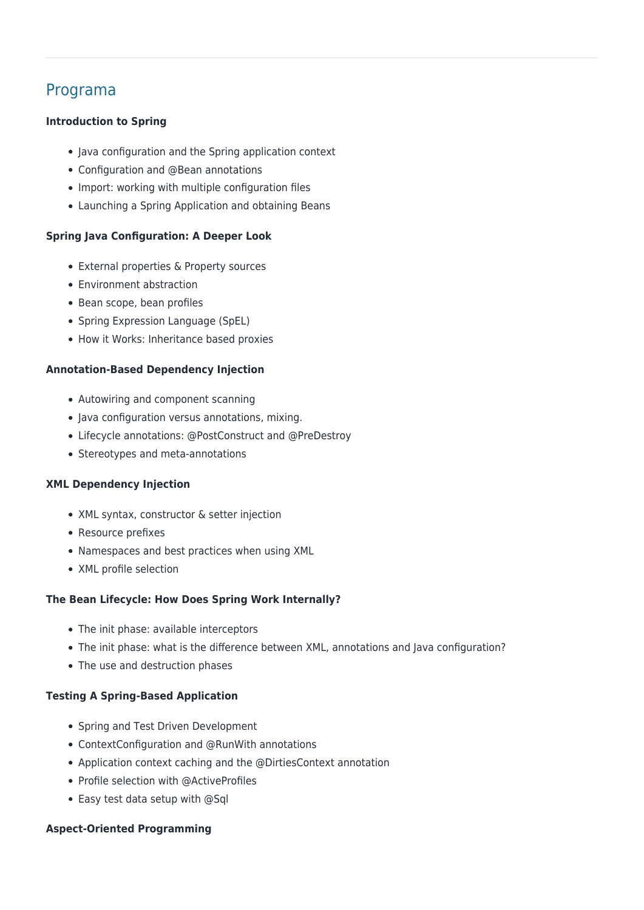# Programa

#### **Introduction to Spring**

- Java configuration and the Spring application context
- Configuration and @Bean annotations
- Import: working with multiple configuration files
- Launching a Spring Application and obtaining Beans

#### **Spring Java Configuration: A Deeper Look**

- External properties & Property sources
- Environment abstraction
- Bean scope, bean profiles
- Spring Expression Language (SpEL)
- How it Works: Inheritance based proxies

#### **Annotation-Based Dependency Injection**

- Autowiring and component scanning
- Java configuration versus annotations, mixing.
- Lifecycle annotations: @PostConstruct and @PreDestroy
- Stereotypes and meta-annotations

#### **XML Dependency Injection**

- XML syntax, constructor & setter injection
- Resource prefixes
- Namespaces and best practices when using XML
- XML profile selection

#### **The Bean Lifecycle: How Does Spring Work Internally?**

- The init phase: available interceptors
- The init phase: what is the difference between XML, annotations and Java configuration?
- The use and destruction phases

## **Testing A Spring-Based Application**

- Spring and Test Driven Development
- ContextConfiguration and @RunWith annotations
- Application context caching and the @DirtiesContext annotation
- Profile selection with @ActiveProfiles
- Easy test data setup with @Sql

#### **Aspect-Oriented Programming**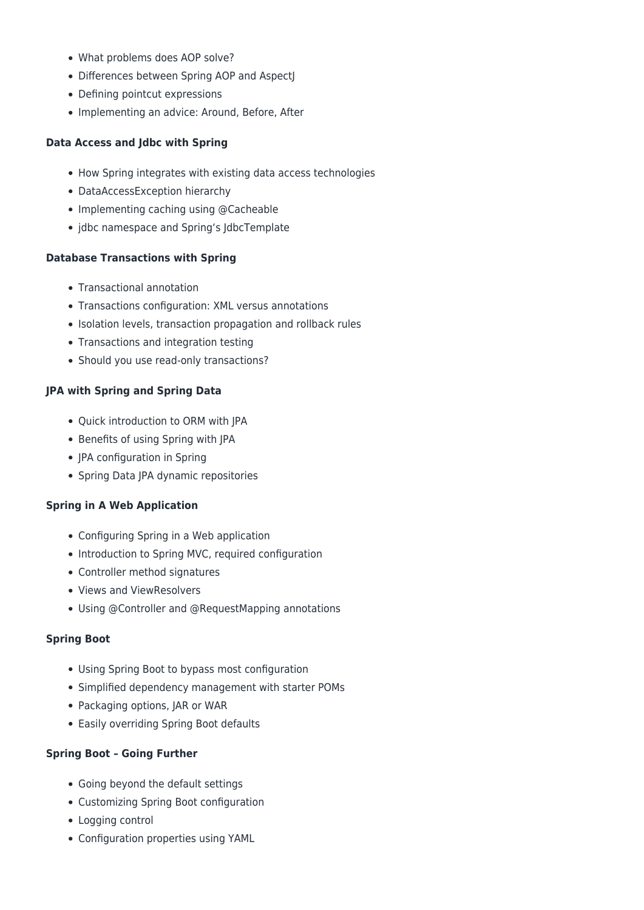- What problems does AOP solve?
- Differences between Spring AOP and AspectJ
- Defining pointcut expressions
- Implementing an advice: Around, Before, After

#### **Data Access and Jdbc with Spring**

- How Spring integrates with existing data access technologies
- DataAccessException hierarchy
- Implementing caching using @Cacheable
- jdbc namespace and Spring's JdbcTemplate

#### **Database Transactions with Spring**

- Transactional annotation
- Transactions configuration: XML versus annotations
- Isolation levels, transaction propagation and rollback rules
- Transactions and integration testing
- Should you use read-only transactions?

## **JPA with Spring and Spring Data**

- Quick introduction to ORM with JPA
- Benefits of using Spring with JPA
- JPA configuration in Spring
- Spring Data JPA dynamic repositories

## **Spring in A Web Application**

- Configuring Spring in a Web application
- Introduction to Spring MVC, required configuration
- Controller method signatures
- Views and ViewResolvers
- Using @Controller and @RequestMapping annotations

## **Spring Boot**

- Using Spring Boot to bypass most configuration
- Simplified dependency management with starter POMs
- Packaging options, JAR or WAR
- Easily overriding Spring Boot defaults

## **Spring Boot – Going Further**

- Going beyond the default settings
- Customizing Spring Boot configuration
- Logging control
- Configuration properties using YAML